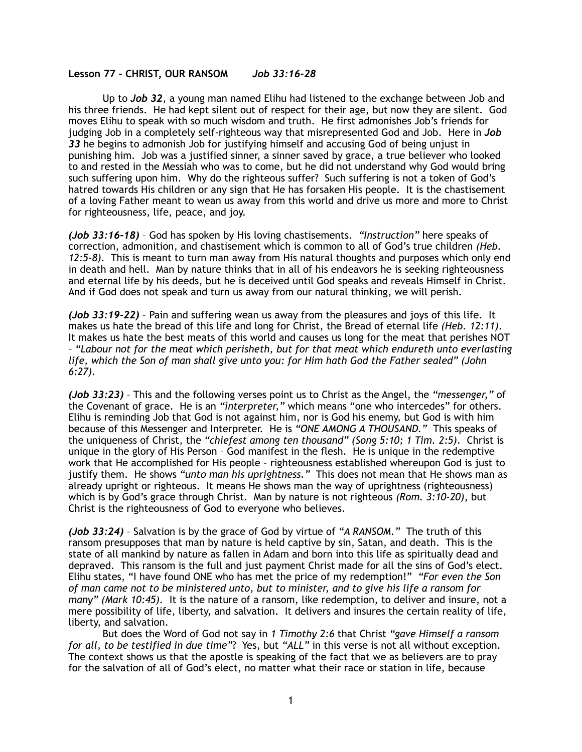## **Lesson 77 – CHRIST, OUR RANSOM** *Job 33:16-28*

Up to *Job 32*, a young man named Elihu had listened to the exchange between Job and his three friends. He had kept silent out of respect for their age, but now they are silent. God moves Elihu to speak with so much wisdom and truth. He first admonishes Job's friends for judging Job in a completely self-righteous way that misrepresented God and Job. Here in *Job 33* he begins to admonish Job for justifying himself and accusing God of being unjust in punishing him. Job was a justified sinner, a sinner saved by grace, a true believer who looked to and rested in the Messiah who was to come, but he did not understand why God would bring such suffering upon him. Why do the righteous suffer? Such suffering is not a token of God's hatred towards His children or any sign that He has forsaken His people. It is the chastisement of a loving Father meant to wean us away from this world and drive us more and more to Christ for righteousness, life, peace, and joy.

*(Job 33:16-18)* – God has spoken by His loving chastisements. *"Instruction"* here speaks of correction, admonition, and chastisement which is common to all of God's true children *(Heb. 12:5-8)*. This is meant to turn man away from His natural thoughts and purposes which only end in death and hell. Man by nature thinks that in all of his endeavors he is seeking righteousness and eternal life by his deeds, but he is deceived until God speaks and reveals Himself in Christ. And if God does not speak and turn us away from our natural thinking, we will perish.

*(Job 33:19-22)* – Pain and suffering wean us away from the pleasures and joys of this life. It makes us hate the bread of this life and long for Christ, the Bread of eternal life *(Heb. 12:11)*. It makes us hate the best meats of this world and causes us long for the meat that perishes NOT – *"Labour not for the meat which perisheth, but for that meat which endureth unto everlasting life, which the Son of man shall give unto you: for Him hath God the Father sealed" (John 6:27).* 

*(Job 33:23)* – This and the following verses point us to Christ as the Angel, the *"messenger,"* of the Covenant of grace. He is an *"interpreter,"* which means "one who intercedes" for others. Elihu is reminding Job that God is not against him, nor is God his enemy, but God is with him because of this Messenger and Interpreter. He is *"ONE AMONG A THOUSAND."* This speaks of the uniqueness of Christ, the *"chiefest among ten thousand" (Song 5:10; 1 Tim. 2:5)*. Christ is unique in the glory of His Person – God manifest in the flesh. He is unique in the redemptive work that He accomplished for His people – righteousness established whereupon God is just to justify them. He shows *"unto man his uprightness."* This does not mean that He shows man as already upright or righteous. It means He shows man the way of uprightness (righteousness) which is by God's grace through Christ. Man by nature is not righteous *(Rom. 3:10-20)*, but Christ is the righteousness of God to everyone who believes.

*(Job 33:24)* – Salvation is by the grace of God by virtue of *"A RANSOM."* The truth of this ransom presupposes that man by nature is held captive by sin, Satan, and death. This is the state of all mankind by nature as fallen in Adam and born into this life as spiritually dead and depraved. This ransom is the full and just payment Christ made for all the sins of God's elect. Elihu states, "I have found ONE who has met the price of my redemption!" *"For even the Son of man came not to be ministered unto, but to minister, and to give his life a ransom for many" (Mark 10:45).* It is the nature of a ransom, like redemption, to deliver and insure, not a mere possibility of life, liberty, and salvation. It delivers and insures the certain reality of life, liberty, and salvation.

But does the Word of God not say in *1 Timothy 2:6* that Christ *"gave Himself a ransom for all, to be testified in due time"*? Yes, but *"ALL"* in this verse is not all without exception. The context shows us that the apostle is speaking of the fact that we as believers are to pray for the salvation of all of God's elect, no matter what their race or station in life, because